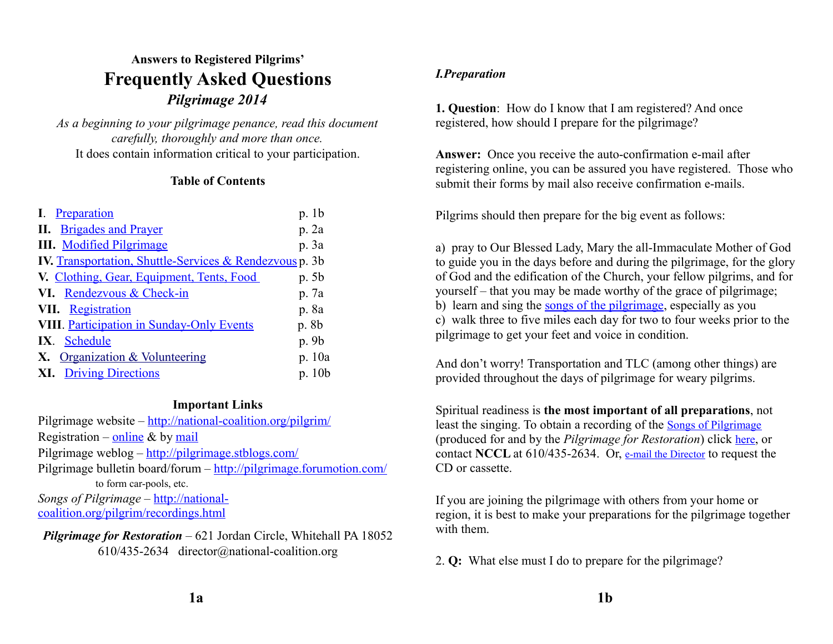# **Answers to Registered Pilgrims' Frequently Asked Questions** *Pilgrimage 2014*

*As a beginning to your pilgrimage penance, read this document carefully, thoroughly and more than once.* It does contain information critical to your participation.

#### **Table of Contents**

| I. Preparation                                                 | p. 1b  |
|----------------------------------------------------------------|--------|
| <b>II.</b> Brigades and Prayer                                 | p. 2a  |
| <b>III.</b> Modified Pilgrimage                                | p. 3a  |
| <b>IV.</b> Transportation, Shuttle-Services & Rendezvous p. 3b |        |
| V. Clothing, Gear, Equipment, Tents, Food                      | p. 5b  |
| VI. Rendezvous & Check-in                                      | p. 7a  |
| VII. Registration                                              | p. 8a  |
| <b>VIII</b> . Participation in Sunday-Only Events              | p. 8b  |
| IX. Schedule                                                   | p. 9b  |
| <b>Organization &amp; Volunteering</b>                         | p. 10a |
| <b>Driving Directions</b>                                      | p. 10b |

#### **Important Links**

Pilgrimage website –<http://national-coalition.org/pilgrim/> Registration – [online](http://national-coalition.org/pilgrim/registration.html)  $\&$  by [mail](http://national-coalition.org/pilgrim/dloadbrochure.html) Pilgrimage weblog –<http://pilgrimage.stblogs.com/> Pilgrimage bulletin board/forum –<http://pilgrimage.forumotion.com/> to form car-pools, etc. *Songs of Pilgrimage* – [http://national-](http://national-coalition.org/pilgrim/recordings.html)

[coalition.org/pilgrim/recordings.html](http://national-coalition.org/pilgrim/recordings.html)

*Pilgrimage for Restoration* – 621 Jordan Circle, Whitehall PA 18052 610/435-2634 director@national-coalition.org

## <span id="page-0-0"></span>*I.Preparation*

**1. Question**: How do I know that I am registered? And once registered, how should I prepare for the pilgrimage?

**Answer:** Once you receive the auto-confirmation e-mail after registering online, you can be assured you have registered. Those who submit their forms by mail also receive confirmation e-mails.

Pilgrims should then prepare for the big event as follows:

a) pray to Our Blessed Lady, Mary the all-Immaculate Mother of God to guide you in the days before and during the pilgrimage, for the glory of God and the edification of the Church, your fellow pilgrims, and for yourself – that you may be made worthy of the grace of pilgrimage; b) learn and sing the [songs of the pilgrimage,](http://national-coalition.org/pilgrim/recordings.html) especially as you c) walk three to five miles each day for two to four weeks prior to the pilgrimage to get your feet and voice in condition.

And don't worry! Transportation and TLC (among other things) are provided throughout the days of pilgrimage for weary pilgrims.

Spiritual readiness is **the most important of all preparations**, not least the singing. To obtain a recording of the [Songs of Pilgrimage](http://www.national-coalition.org/pilgrim/recordings.html) (produced for and by the *Pilgrimage for Restoration*) click [here](http://www.national-coalition.org/pilgrim/order.html), or contact **NCCL** at 610/435-2634. Or, [e-mail the Director](mailto:director@national-coalition.org?subject=email%20subject) to request the CD or cassette.

If you are joining the pilgrimage with others from your home or region, it is best to make your preparations for the pilgrimage together with them.

2. **Q:** What else must I do to prepare for the pilgrimage?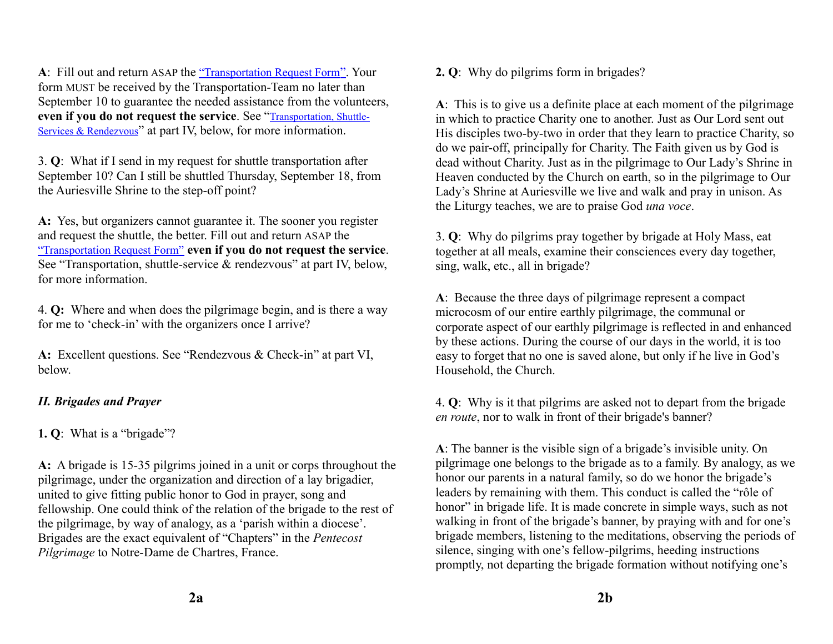**A**: Fill out and return ASAP the ["Transportation Request Form](http://www.national-coalition.org/pilgrim/TRF.htm)". Your form MUST be received by the Transportation-Team no later than September 10 to guarantee the needed assistance from the volunteers, **even if you do not request the service**. See "[Transportation, Shuttle-](#page-2-0)[Services & Rendezvous](#page-2-0)" at part IV, below, for more information.

3. **Q**: What if I send in my request for shuttle transportation after September 10? Can I still be shuttled Thursday, September 18, from the Auriesville Shrine to the step-off point?

**A:** Yes, but organizers cannot guarantee it. The sooner you register and request the shuttle, the better. Fill out and return ASAP the ["Transportation Request Form"](http://www.national-coalition.org/pilgrim/TRF.htm) **even if you do not request the service**. See "Transportation, shuttle-service & rendezvous" at part IV, below, for more information.

4. **Q:** Where and when does the pilgrimage begin, and is there a way for me to 'check-in' with the organizers once I arrive?

**A:** Excellent questions. See "Rendezvous & Check-in" at part VI, below.

## <span id="page-1-0"></span>*II. Brigades and Prayer*

**1. Q**: What is a "brigade"?

**A:** A brigade is 15-35 pilgrims joined in a unit or corps throughout the pilgrimage, under the organization and direction of a lay brigadier, united to give fitting public honor to God in prayer, song and fellowship. One could think of the relation of the brigade to the rest of the pilgrimage, by way of analogy, as a 'parish within a diocese'. Brigades are the exact equivalent of "Chapters" in the *Pentecost Pilgrimage* to Notre-Dame de Chartres, France.

**2. Q**: Why do pilgrims form in brigades?

**A**: This is to give us a definite place at each moment of the pilgrimage in which to practice Charity one to another. Just as Our Lord sent out His disciples two-by-two in order that they learn to practice Charity, so do we pair-off, principally for Charity. The Faith given us by God is dead without Charity. Just as in the pilgrimage to Our Lady's Shrine in Heaven conducted by the Church on earth, so in the pilgrimage to Our Lady's Shrine at Auriesville we live and walk and pray in unison. As the Liturgy teaches, we are to praise God *una voce*.

3. **Q**: Why do pilgrims pray together by brigade at Holy Mass, eat together at all meals, examine their consciences every day together, sing, walk, etc., all in brigade?

**A**: Because the three days of pilgrimage represent a compact microcosm of our entire earthly pilgrimage, the communal or corporate aspect of our earthly pilgrimage is reflected in and enhanced by these actions. During the course of our days in the world, it is too easy to forget that no one is saved alone, but only if he live in God's Household, the Church.

4. **Q**: Why is it that pilgrims are asked not to depart from the brigade *en route*, nor to walk in front of their brigade's banner?

**A**: The banner is the visible sign of a brigade's invisible unity. On pilgrimage one belongs to the brigade as to a family. By analogy, as we honor our parents in a natural family, so do we honor the brigade's leaders by remaining with them. This conduct is called the "rôle of honor" in brigade life. It is made concrete in simple ways, such as not walking in front of the brigade's banner, by praying with and for one's brigade members, listening to the meditations, observing the periods of silence, singing with one's fellow-pilgrims, heeding instructions promptly, not departing the brigade formation without notifying one's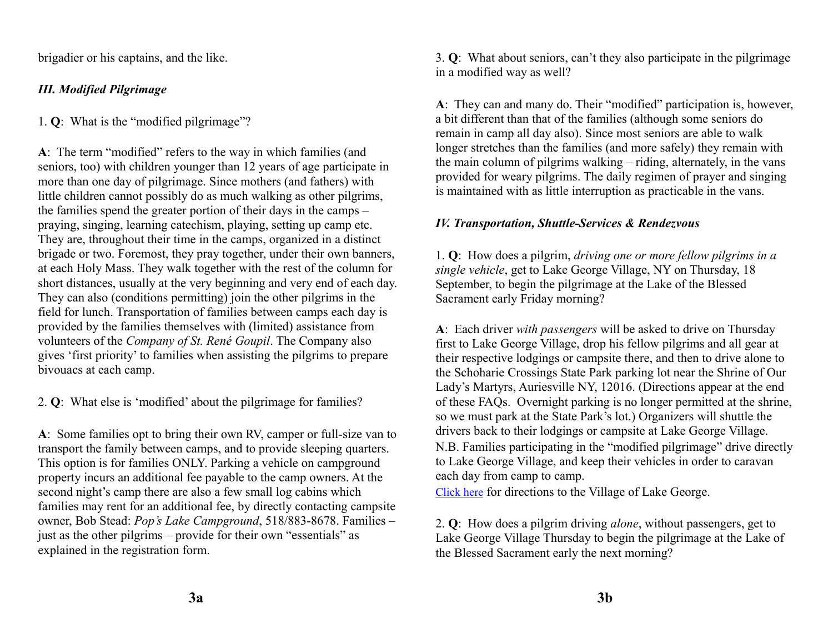brigadier or his captains, and the like.

# <span id="page-2-1"></span>*III. Modified Pilgrimage*

1. **Q**: What is the "modified pilgrimage"?

**A**: The term "modified" refers to the way in which families (and seniors, too) with children younger than 12 years of age participate in more than one day of pilgrimage. Since mothers (and fathers) with little children cannot possibly do as much walking as other pilgrims, the families spend the greater portion of their days in the camps – praying, singing, learning catechism, playing, setting up camp etc. They are, throughout their time in the camps, organized in a distinct brigade or two. Foremost, they pray together, under their own banners, at each Holy Mass. They walk together with the rest of the column for short distances, usually at the very beginning and very end of each day. They can also (conditions permitting) join the other pilgrims in the field for lunch. Transportation of families between camps each day is provided by the families themselves with (limited) assistance from volunteers of the *Company of St. René Goupil*. The Company also gives 'first priority' to families when assisting the pilgrims to prepare bivouacs at each camp.

2. **Q**: What else is 'modified' about the pilgrimage for families?

**A**: Some families opt to bring their own RV, camper or full-size van to transport the family between camps, and to provide sleeping quarters. This option is for families ONLY. Parking a vehicle on campground property incurs an additional fee payable to the camp owners. At the second night's camp there are also a few small log cabins which families may rent for an additional fee, by directly contacting campsite owner, Bob Stead: *Pop's Lake Campground*, 518/883-8678. Families – just as the other pilgrims – provide for their own "essentials" as explained in the registration form.

3. **Q**: What about seniors, can't they also participate in the pilgrimage in a modified way as well?

**A**: They can and many do. Their "modified" participation is, however, a bit different than that of the families (although some seniors do remain in camp all day also). Since most seniors are able to walk longer stretches than the families (and more safely) they remain with the main column of pilgrims walking – riding, alternately, in the vans provided for weary pilgrims. The daily regimen of prayer and singing is maintained with as little interruption as practicable in the vans.

# <span id="page-2-0"></span>*IV. Transportation, Shuttle-Services & Rendezvous*

1. **Q**: How does a pilgrim, *driving one or more fellow pilgrims in a single vehicle*, get to Lake George Village, NY on Thursday, 18 September, to begin the pilgrimage at the Lake of the Blessed Sacrament early Friday morning?

**A**: Each driver *with passengers* will be asked to drive on Thursday first to Lake George Village, drop his fellow pilgrims and all gear at their respective lodgings or campsite there, and then to drive alone to the Schoharie Crossings State Park parking lot near the Shrine of Our Lady's Martyrs, Auriesville NY, 12016. (Directions appear at the end of these FAQs. Overnight parking is no longer permitted at the shrine, so we must park at the State Park's lot.) Organizers will shuttle the drivers back to their lodgings or campsite at Lake George Village.

N.B. Families participating in the "modified pilgrimage" drive directly to Lake George Village, and keep their vehicles in order to caravan each day from camp to camp.

[Click here](http://www.national-coalition.org/pilgrim/detaildirs.html) for directions to the Village of Lake George.

2. **Q**: How does a pilgrim driving *alone*, without passengers, get to Lake George Village Thursday to begin the pilgrimage at the Lake of the Blessed Sacrament early the next morning?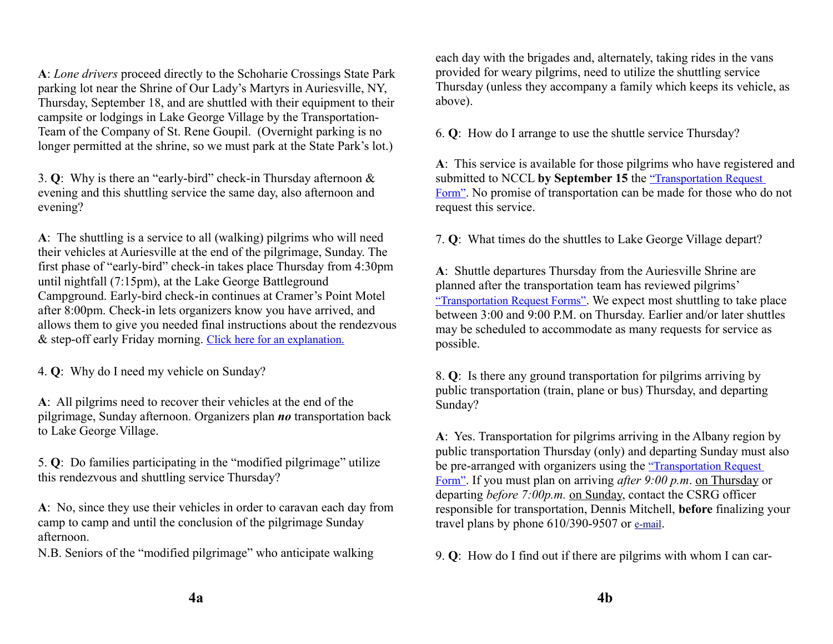**A**: *Lone drivers* proceed directly to the Schoharie Crossings State Park parking lot near the Shrine of Our Lady's Martyrs in Auriesville, NY, Thursday, September 18, and are shuttled with their equipment to their campsite or lodgings in Lake George Village by the Transportation-Team of the Company of St. Rene Goupil. (Overnight parking is no longer permitted at the shrine, so we must park at the State Park's lot.)

3. **Q**: Why is there an "early-bird" check-in Thursday afternoon & evening and this shuttling service the same day, also afternoon and evening?

**A**: The shuttling is a service to all (walking) pilgrims who will need their vehicles at Auriesville at the end of the pilgrimage, Sunday. The first phase of "early-bird" check-in takes place Thursday from 4:30pm until nightfall (7:15pm), at the Lake George Battleground Campground. Early-bird check-in continues at Cramer's Point Motel after 8:00pm. Check-in lets organizers know you have arrived, and allows them to give you needed final instructions about the rendezvous & step-off early Friday morning. [Click here for an explanation.](http://www.national-coalition.org/pilgrim/rendezvous.html)

4. **Q**: Why do I need my vehicle on Sunday?

**A**: All pilgrims need to recover their vehicles at the end of the pilgrimage, Sunday afternoon. Organizers plan *no* transportation back to Lake George Village.

5. **Q**: Do families participating in the "modified pilgrimage" utilize this rendezvous and shuttling service Thursday?

**A**: No, since they use their vehicles in order to caravan each day from camp to camp and until the conclusion of the pilgrimage Sunday afternoon.

N.B. Seniors of the "modified pilgrimage" who anticipate walking

each day with the brigades and, alternately, taking rides in the vans provided for weary pilgrims, need to utilize the shuttling service Thursday (unless they accompany a family which keeps its vehicle, as above).

6. **Q**: How do I arrange to use the shuttle service Thursday?

**A**: This service is available for those pilgrims who have registered and submitted to NCCL **by September 15** the ["Transportation Request](http://www.national-coalition.org/pilgrim/TRF.htm)  [Form"](http://www.national-coalition.org/pilgrim/TRF.htm). No promise of transportation can be made for those who do not request this service.

7. **Q**: What times do the shuttles to Lake George Village depart?

**A**: Shuttle departures Thursday from the Auriesville Shrine are planned after the transportation team has reviewed pilgrims' ["Transportation Request Forms"](http://www.national-coalition.org/pilgrim/TRF.htm). We expect most shuttling to take place between 3:00 and 9:00 P.M. on Thursday. Earlier and/or later shuttles may be scheduled to accommodate as many requests for service as possible.

8. **Q**: Is there any ground transportation for pilgrims arriving by public transportation (train, plane or bus) Thursday, and departing Sunday?

**A**: Yes. Transportation for pilgrims arriving in the Albany region by public transportation Thursday (only) and departing Sunday must also be pre-arranged with organizers using the ["Transportation Request](http://www.national-coalition.org/pilgrim/TRF.htm)  [Form"](http://www.national-coalition.org/pilgrim/TRF.htm). If you must plan on arriving *after 9:00 p.m*. on Thursday or departing *before 7:00p.m.* on Sunday, contact the CSRG officer responsible for transportation, Dennis Mitchell, **before** finalizing your travel plans by phone 610/390-9507 or [e-mail](mailto:d.mitchell.pilgrimage@gmail.com?subject=preparing%20to%20finalize%20travel%20plans%20-%20Pilgrimage%202013).

9. **Q**: How do I find out if there are pilgrims with whom I can car-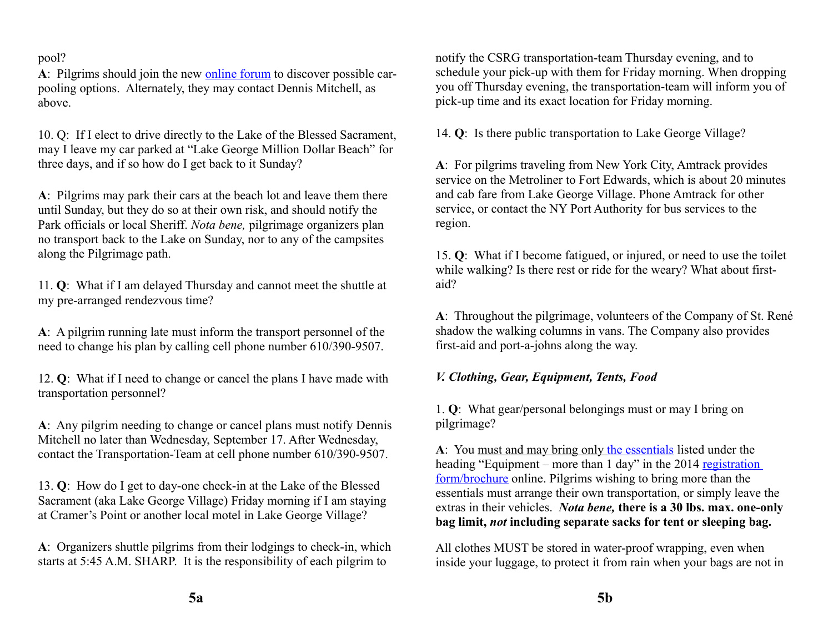#### pool?

**A**: Pilgrims should join the new [online forum](http://pilgrimage.forumotion.com/) to discover possible carpooling options. Alternately, they may contact Dennis Mitchell, as above.

10. Q: If I elect to drive directly to the Lake of the Blessed Sacrament, may I leave my car parked at "Lake George Million Dollar Beach" for three days, and if so how do I get back to it Sunday?

**A**: Pilgrims may park their cars at the beach lot and leave them there until Sunday, but they do so at their own risk, and should notify the Park officials or local Sheriff. *Nota bene,* pilgrimage organizers plan no transport back to the Lake on Sunday, nor to any of the campsites along the Pilgrimage path.

11. **Q**: What if I am delayed Thursday and cannot meet the shuttle at my pre-arranged rendezvous time?

**A**: A pilgrim running late must inform the transport personnel of the need to change his plan by calling cell phone number 610/390-9507.

12. **Q**: What if I need to change or cancel the plans I have made with transportation personnel?

**A**: Any pilgrim needing to change or cancel plans must notify Dennis Mitchell no later than Wednesday, September 17. After Wednesday, contact the Transportation-Team at cell phone number 610/390-9507.

13. **Q**: How do I get to day-one check-in at the Lake of the Blessed Sacrament (aka Lake George Village) Friday morning if I am staying at Cramer's Point or another local motel in Lake George Village?

**A**: Organizers shuttle pilgrims from their lodgings to check-in, which starts at 5:45 A.M. SHARP. It is the responsibility of each pilgrim to

notify the CSRG transportation-team Thursday evening, and to schedule your pick-up with them for Friday morning. When dropping you off Thursday evening, the transportation-team will inform you of pick-up time and its exact location for Friday morning.

14. **Q**: Is there public transportation to Lake George Village?

**A**: For pilgrims traveling from New York City, Amtrack provides service on the Metroliner to Fort Edwards, which is about 20 minutes and cab fare from Lake George Village. Phone Amtrack for other service, or contact the NY Port Authority for bus services to the region.

15. **Q**: What if I become fatigued, or injured, or need to use the toilet while walking? Is there rest or ride for the weary? What about firstaid?

**A**: Throughout the pilgrimage, volunteers of the Company of St. René shadow the walking columns in vans. The Company also provides first-aid and port-a-johns along the way.

## <span id="page-4-0"></span>*V. Clothing, Gear, Equipment, Tents, Food*

1. **Q**: What gear/personal belongings must or may I bring on pilgrimage?

**A**: You must and may bring only [the essentials](http://national-coalition.org/pilgrim/equipment1.html) listed under the heading "Equipment – more than 1 day" in the 2014 registration [form/brochure](http://national-coalition.org/pilgrim/dloadbrochure.html) online. Pilgrims wishing to bring more than the essentials must arrange their own transportation, or simply leave the extras in their vehicles. *Nota bene,* **there is a 30 lbs. max. one-only bag limit,** *not* **including separate sacks for tent or sleeping bag.**

All clothes MUST be stored in water-proof wrapping, even when inside your luggage, to protect it from rain when your bags are not in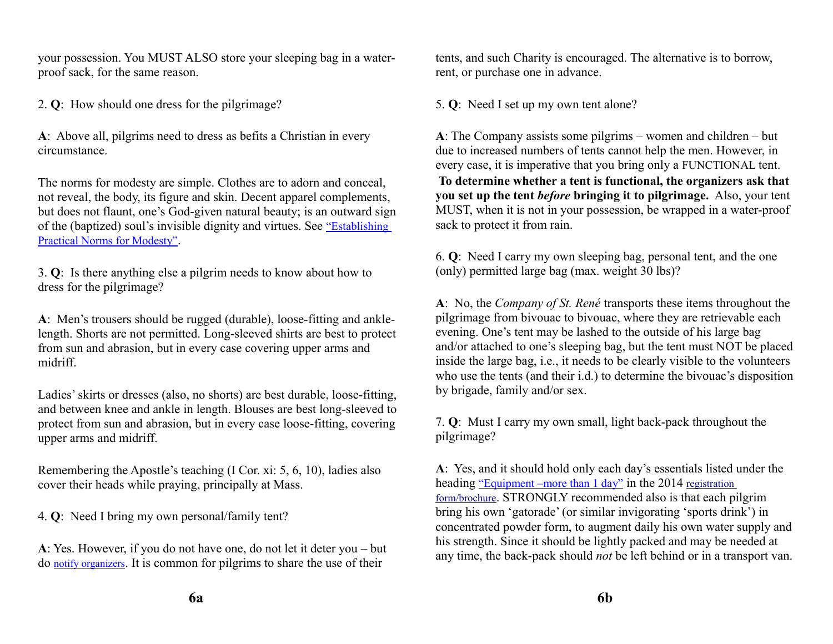your possession. You MUST ALSO store your sleeping bag in a waterproof sack, for the same reason.

2. **Q**: How should one dress for the pilgrimage?

**A**: Above all, pilgrims need to dress as befits a Christian in every circumstance.

The norms for modesty are simple. Clothes are to adorn and conceal, not reveal, the body, its figure and skin. Decent apparel complements, but does not flaunt, one's God-given natural beauty; is an outward sign of the (baptized) soul's invisible dignity and virtues. See ["Establishing](http://www.national-coalition.org/modesty/modnorms.html)  [Practical Norms for Modesty"](http://www.national-coalition.org/modesty/modnorms.html).

3. **Q**: Is there anything else a pilgrim needs to know about how to dress for the pilgrimage?

**A**: Men's trousers should be rugged (durable), loose-fitting and anklelength. Shorts are not permitted. Long-sleeved shirts are best to protect from sun and abrasion, but in every case covering upper arms and midriff.

Ladies' skirts or dresses (also, no shorts) are best durable, loose-fitting, and between knee and ankle in length. Blouses are best long-sleeved to protect from sun and abrasion, but in every case loose-fitting, covering upper arms and midriff.

Remembering the Apostle's teaching (I Cor. xi: 5, 6, 10), ladies also cover their heads while praying, principally at Mass.

4. **Q**: Need I bring my own personal/family tent?

**A**: Yes. However, if you do not have one, do not let it deter you – but do [notify organizers](mailto:director@national-coalition.org?subject=question%20about%20personal%20tent%20-%20Pilgrimage%202013). It is common for pilgrims to share the use of their

tents, and such Charity is encouraged. The alternative is to borrow, rent, or purchase one in advance.

5. **Q**: Need I set up my own tent alone?

**A**: The Company assists some pilgrims – women and children – but due to increased numbers of tents cannot help the men. However, in every case, it is imperative that you bring only a FUNCTIONAL tent. **To determine whether a tent is functional, the organizers ask that you set up the tent** *before* **bringing it to pilgrimage.** Also, your tent MUST, when it is not in your possession, be wrapped in a water-proof sack to protect it from rain.

6. **Q**: Need I carry my own sleeping bag, personal tent, and the one (only) permitted large bag (max. weight 30 lbs)?

**A**: No, the *Company of St. René* transports these items throughout the pilgrimage from bivouac to bivouac, where they are retrievable each evening. One's tent may be lashed to the outside of his large bag and/or attached to one's sleeping bag, but the tent must NOT be placed inside the large bag, i.e., it needs to be clearly visible to the volunteers who use the tents (and their i.d.) to determine the bivouac's disposition by brigade, family and/or sex.

7. **Q**: Must I carry my own small, light back-pack throughout the pilgrimage?

**A**: Yes, and it should hold only each day's essentials listed under the heading ["Equipment –more than 1 day"](http://www.national-coalition.org/pilgrim/equipment1.html) in the 2014 registration [form/brochure](http://www.national-coalition.org/pilgrim/dloadbrochure.html). STRONGLY recommended also is that each pilgrim bring his own 'gatorade' (or similar invigorating 'sports drink') in concentrated powder form, to augment daily his own water supply and his strength. Since it should be lightly packed and may be needed at any time, the back-pack should *not* be left behind or in a transport van.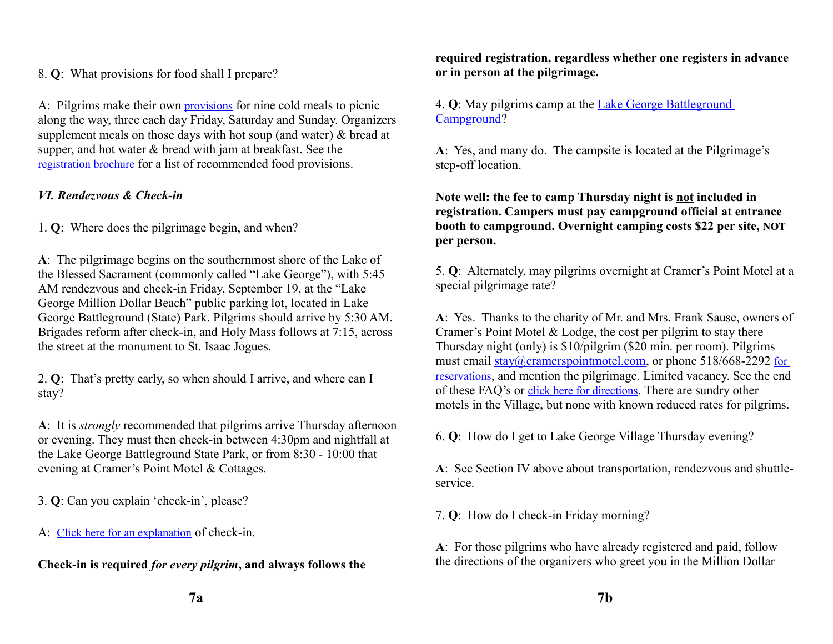## 8. **Q**: What provisions for food shall I prepare?

A: Pilgrims make their own [provisions](http://www.national-coalition.org/pilgrim/provisions.html) for nine cold meals to picnic along the way, three each day Friday, Saturday and Sunday. Organizers supplement meals on those days with hot soup (and water) & bread at supper, and hot water & bread with jam at breakfast. See the [registration brochure](http://www.national-coalition.org/pilgrim/dloadbrochure.html) for a list of recommended food provisions.

# <span id="page-6-0"></span>*VI. Rendezvous & Check-in*

1. **Q**: Where does the pilgrimage begin, and when?

**A**: The pilgrimage begins on the southernmost shore of the Lake of the Blessed Sacrament (commonly called "Lake George"), with 5:45 AM rendezvous and check-in Friday, September 19, at the "Lake George Million Dollar Beach" public parking lot, located in Lake George Battleground (State) Park. Pilgrims should arrive by 5:30 AM. Brigades reform after check-in, and Holy Mass follows at 7:15, across the street at the monument to St. Isaac Jogues.

2. **Q**: That's pretty early, so when should I arrive, and where can I stay?

**A**: It is *strongly* recommended that pilgrims arrive Thursday afternoon or evening. They must then check-in between 4:30pm and nightfall at the Lake George Battleground State Park, or from 8:30 - 10:00 that evening at Cramer's Point Motel & Cottages.

3. **Q**: Can you explain 'check-in', please?

A: [Click here for an explanation](http://www.national-coalition.org/pilgrim/rendezvous.html) of check-in.

**Check-in is required** *for every pilgrim***, and always follows the** 

**required registration, regardless whether one registers in advance or in person at the pilgrimage.**

4. **Q**: May pilgrims camp at the [Lake George Battleground](http://www.dec.ny.gov/outdoor/24453.html)  [Campground?](http://www.dec.ny.gov/outdoor/24453.html)

**A**: Yes, and many do. The campsite is located at the Pilgrimage's step-off location.

## **Note well: the fee to camp Thursday night is not included in registration. Campers must pay campground official at entrance booth to campground. Overnight camping costs \$22 per site, NOT per person.**

5. **Q**: Alternately, may pilgrims overnight at Cramer's Point Motel at a special pilgrimage rate?

**A**: Yes. Thanks to the charity of Mr. and Mrs. Frank Sause, owners of Cramer's Point Motel & Lodge, the cost per pilgrim to stay there Thursday night (only) is \$10/pilgrim (\$20 min. per room). Pilgrims must email [stay@cramerspointmotel.com,](mailto:stay@cramerspointmotel.com) or phone 518/668-2292 for [reservations](http://www.national-coalition.org/pilgrim/camping.html), and mention the pilgrimage. Limited vacancy. See the end of these FAQ's or [click here for directions](http://www.national-coalition.org/pilgrim/detaildirs.html). There are sundry other motels in the Village, but none with known reduced rates for pilgrims.

6. **Q**: How do I get to Lake George Village Thursday evening?

**A**: See Section IV above about transportation, rendezvous and shuttleservice.

7. **Q**: How do I check-in Friday morning?

**A**: For those pilgrims who have already registered and paid, follow the directions of the organizers who greet you in the Million Dollar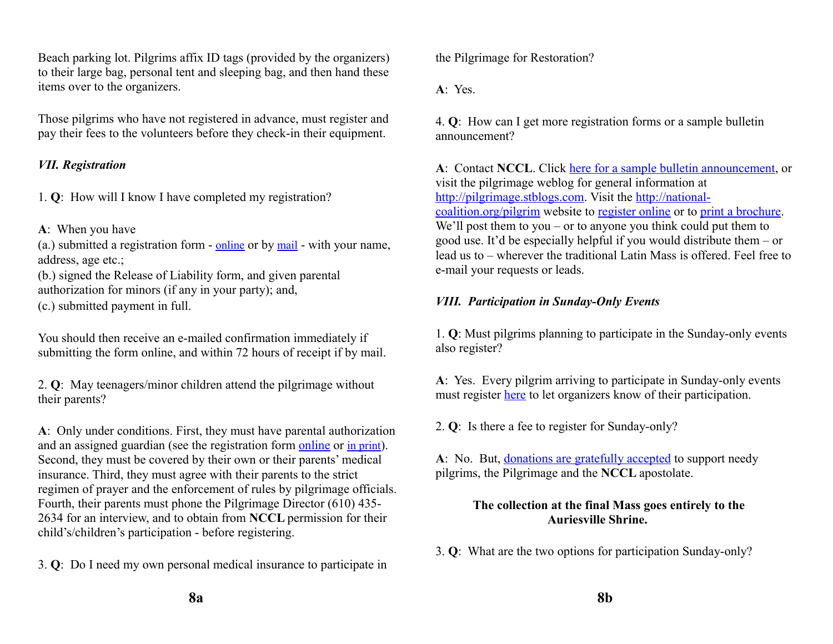Beach parking lot. Pilgrims affix ID tags (provided by the organizers) to their large bag, personal tent and sleeping bag, and then hand these items over to the organizers.

Those pilgrims who have not registered in advance, must register and pay their fees to the volunteers before they check-in their equipment.

## <span id="page-7-1"></span>*VII. Registration*

1. **Q**: How will I know I have completed my registration?

**A**: When you have

(a.) submitted a registration form - [online](http://www.national-coalition.org/pilgrim/registration.html) or by [mail](http://www.national-coalition.org/pilgrim/dloadbrochure.html) - with your name, address, age etc.;

(b.) signed the Release of Liability form, and given parental authorization for minors (if any in your party); and,

(c.) submitted payment in full.

You should then receive an e-mailed confirmation immediately if submitting the form online, and within 72 hours of receipt if by mail.

2. **Q**: May teenagers/minor children attend the pilgrimage without their parents?

**A**: Only under conditions. First, they must have parental authorization and an assigned guardian (see the registration form [online](http://national-coalition.org/pilgrim/registration.html) or [in print](http://www.national-coalition.org/pilgrim/dloadbrochure.html)). Second, they must be covered by their own or their parents' medical insurance. Third, they must agree with their parents to the strict regimen of prayer and the enforcement of rules by pilgrimage officials. Fourth, their parents must phone the Pilgrimage Director (610) 435- 2634 for an interview, and to obtain from **NCCL** permission for their child's/children's participation - before registering.

3. **Q**: Do I need my own personal medical insurance to participate in

the Pilgrimage for Restoration?

**A**: Yes.

4. **Q**: How can I get more registration forms or a sample bulletin announcement?

**A**: Contact **NCCL**. Click [here for a sample bulletin announcement,](http://pilgrimage.stblogs.com/?p=2396) or visit the pilgrimage weblog for general information at [http://pilgrimage.stblogs.com.](http://pilgrimage.stblogs.com/) Visit the [http://national](http://national-coalition.org/pilgrim)[coalition.org/pilgrim](http://national-coalition.org/pilgrim) website to [register online](http://national-coalition.org/pilgrim/registration.html) or to [print a brochure.](http://national-coalition.org/pilgrim/dloadbrochure.html) We'll post them to you – or to anyone you think could put them to good use. It'd be especially helpful if you would distribute them – or lead us to – wherever the traditional Latin Mass is offered. Feel free to e-mail your requests or leads.

## <span id="page-7-0"></span>*VIII. Participation in Sunday-Only Events*

1. **Q**: Must pilgrims planning to participate in the Sunday-only events also register?

**A**: Yes. Every pilgrim arriving to participate in Sunday-only events must register [here](http://national-coalition.org/pilgrim/registration.html) to let organizers know of their participation.

2. **Q**: Is there a fee to register for Sunday-only?

**A**: No. But, [donations are gratefully accepted](http://national-coalition.org/w/pilgrimage-without-travel/) to support needy pilgrims, the Pilgrimage and the **NCCL** apostolate.

# **The collection at the final Mass goes entirely to the Auriesville Shrine.**

3. **Q**: What are the two options for participation Sunday-only?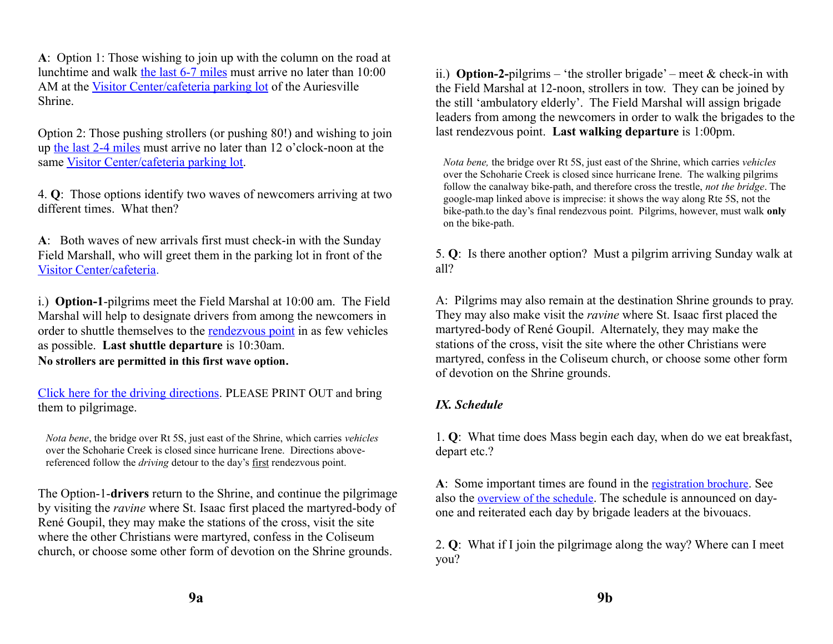**A**: Option 1: Those wishing to join up with the column on the road at lunchtime and walk [the last 6-7 miles](http://maps.google.com/maps?saddr=Pop) must arrive no later than 10:00 AM at the [Visitor Center/cafeteria parking lot](http://maps.google.com/maps?saddr=Shrine+Rd&hl=en&sll=42.92484,-74.302675&sspn=0.003417,0.010568&geocode=Far7jgIdnDCS-w&mra=mr&dirflg=w&vpsrc=0&t=h&z=17) of the Auriesville Shrine.

Option 2: Those pushing strollers (or pushing 80!) and wishing to join up [the last 2-4 miles](http://maps.google.com/maps?saddr=Main+St&daddr=42.9280809,-74.304249+to:Auriesville+Shrine,+Amsterdam,+NY&hl=en&ll=42.933427,-74.289379&spn=0.027336,0.084543&sll=42.947502,-74.273071&sspn=0.054659,0.169086&geocode=FQg5jwIdfKCS-w;FdAHjwIdBzWS-ylxiP1WV4neiTHV4_KQCpZ18w;FT7-jgIdbTyS-yHSOR98Vao8uA&vpsrc=6&dirflg=w&mra=ls&via=1&t=h&z=14) must arrive no later than 12 o'clock-noon at the same [Visitor Center/cafeteria parking lot.](http://maps.google.com/maps?saddr=Shrine+Rd&hl=en&sll=42.92484,-74.302675&sspn=0.003417,0.010568&geocode=Far7jgIdnDCS-w&mra=mr&dirflg=w&vpsrc=0&t=h&z=17)

4. **Q**: Those options identify two waves of newcomers arriving at two different times. What then?

**A**: Both waves of new arrivals first must check-in with the Sunday Field Marshall, who will greet them in the parking lot in front of the [Visitor Center/cafeteria.](http://maps.google.com/maps?saddr=Shrine+Rd&hl=en&sll=42.92484,-74.302675&sspn=0.003417,0.010568&geocode=Far7jgIdnDCS-w&mra=mr&dirflg=w&vpsrc=0&t=h&z=17)

i.) **Option-1**-pilgrims meet the Field Marshal at 10:00 am. The Field Marshal will help to designate drivers from among the newcomers in order to shuttle themselves to the [rendezvous point](http://maps.google.com/maps?saddr=Pop) in as few vehicles as possible. **Last shuttle departure** is 10:30am. **No strollers are permitted in this first wave option.**

[Click here for the driving directions.](http://maps.google.com/maps?saddr=Noeltner+Rd&daddr=42.94554,-74.31861+to:N+42+58.013+W+074+15.203+to:42.95246,-74.36943+to:Shrine+Rd&hl=en&sll=42.948004,-74.301567&sspn=0.054658,0.169086&geocode=Far7jgIdnDCS-w;FQRMjwId7vyR-ynJnRFqD4zeiTEEtJrkbTujNw;FWOfjwIdufuS-w;FQxnjwIdajaR-ynFyG2az43eiTHANS41dwfF_w;FUz6jgIdWkCS-w&vpsrc=0&mra=dme&mrsp=4&sz=13&via=1,3&t=h&z=13) PLEASE PRINT OUT and bring them to pilgrimage.

*Nota bene*, the bridge over Rt 5S, just east of the Shrine, which carries *vehicles* over the Schoharie Creek is closed since hurricane Irene. Directions abovereferenced follow the *driving* detour to the day's first rendezvous point.

The Option-1-**drivers** return to the Shrine, and continue the pilgrimage by visiting [the](http://www.martyrshrine.org/pages/virtual-tour.html) *[ravine](http://www.martyrshrine.org/pages/virtual-tour.html)* where St. Isaac first placed the martyred-body of René Goupil, they may make the stations of the cross, visit the site where the other Christians were martyred, confess in the Coliseum church, or choose [some other form of devotion on the Shrine grounds.](http://www.martyrshrine.org/pages/virtual-tour.html)

ii.) **Option-2-**pilgrims – 'the stroller brigade' – meet & check-in with the Field Marshal at 12-noon, strollers in tow. They can be joined by the still 'ambulatory elderly'. The Field Marshal will assign brigade leaders from among the newcomers in order to walk the brigades to the [last rendezvous point.](http://maps.google.com/maps?saddr=Noeltner+Rd&daddr=42.928014,-74.305076+to:Main+St&hl=en&sll=42.932422,-74.291096&sspn=0.028216,0.084543&geocode=Far7jgIdnDCS-w;FY4HjwIdzDGS-yn5qIBvUYneiTGYzLW6M88JNQ;FQg5jwIdfKCS-w&vpsrc=0&dirflg=w&mra=dme&mrsp=0&sz=14&via=1&t=h&z=14) **Last walking departure** is 1:00pm.

*Nota bene,* the bridge over Rt 5S, just east of the Shrine, which carries *vehicles* over the Schoharie Creek is closed since hurricane Irene. The walking pilgrims follow the canalway bike-path, and therefore cross the trestle, *not the bridge*. The google-map linked above is imprecise: it shows the way along Rte 5S, not the bike-path.to the day's final rendezvous point. Pilgrims, however, must walk **only** on the bike-path.

5. **Q**: Is there another option? Must a pilgrim arriving Sunday walk at all?

A: Pilgrims may also remain at the destination Shrine grounds to pray. They may also make visit [the](http://www.martyrshrine.org/pages/virtual-tour.html) *[ravine](http://www.martyrshrine.org/pages/virtual-tour.html)* where St. Isaac first placed the martyred-body of René Goupil. Alternately, they may make the stations of the cross, visit the site where the other Christians were martyred, confess in the Coliseum church, or choose [some other form](http://www.martyrshrine.org/pages/virtual-tour.html)  [of devotion on the Shrine grounds.](http://www.martyrshrine.org/pages/virtual-tour.html)

# <span id="page-8-0"></span>*IX. Schedule*

1. **Q**: What time does Mass begin each day, when do we eat breakfast, depart etc.?

**A**: Some important times are found in the [registration brochure](http://www.national-coalition.org/pilgrim/dloadbrochure.html). See also the [overview of the schedule](http://www.national-coalition.org/pilgrim/itinerary.html). The schedule is announced on dayone and reiterated each day by brigade leaders at the bivouacs.

2. **Q**: What if I join the pilgrimage along the way? Where can I meet you?